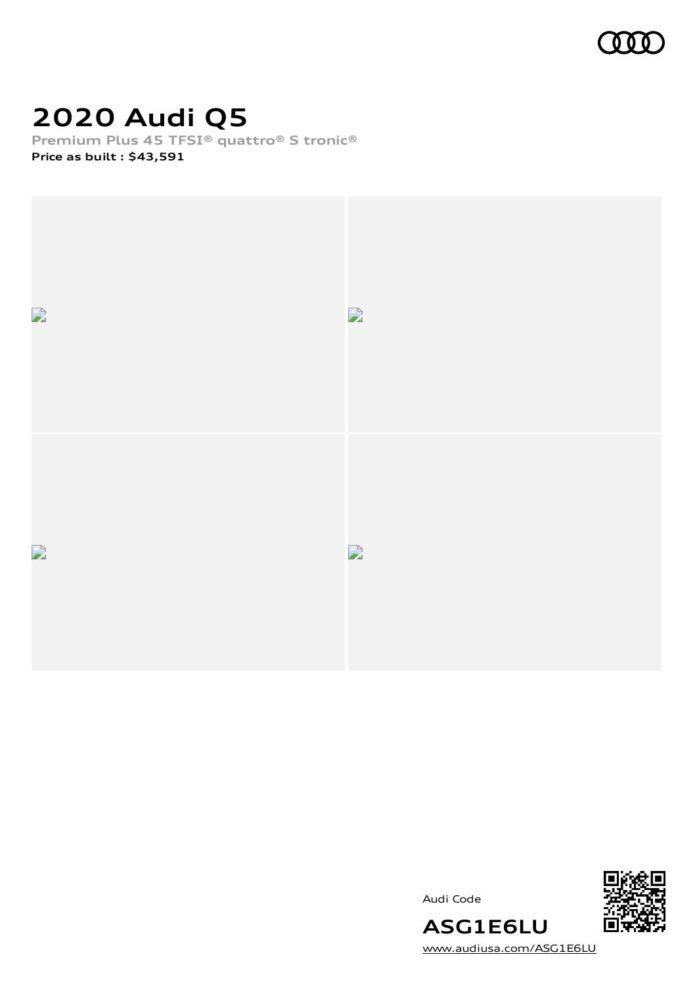

# **2020 Audi Q5**

**Premium Plus 45 TFSI® quattro® S tronic® Price as built [:](#page-8-0) \$43,591**





Audi Code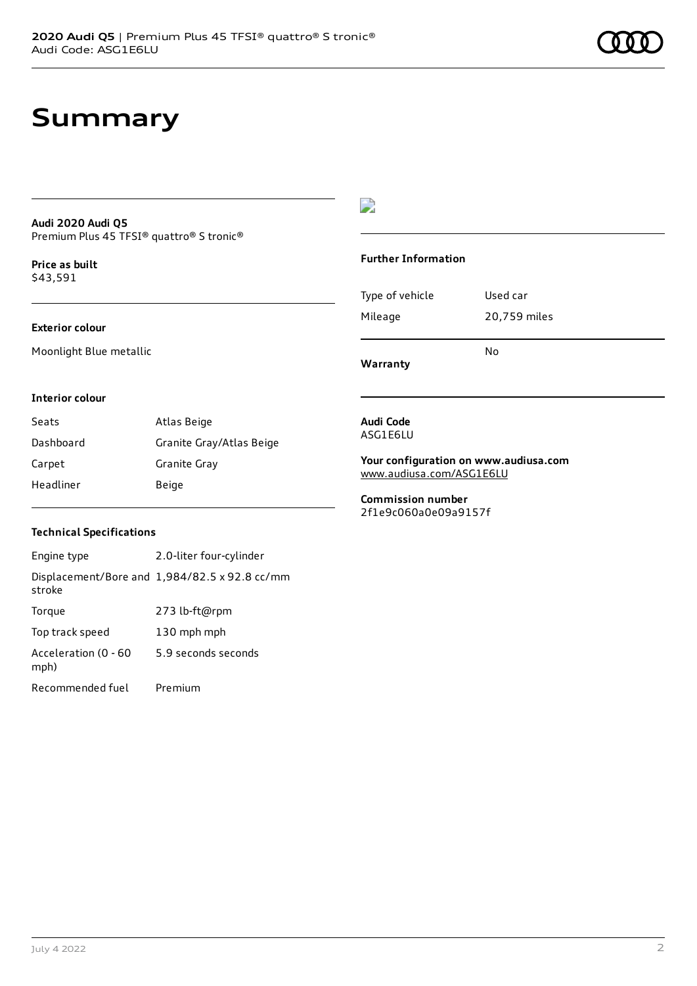#### **Audi 2020 Audi Q5** Premium Plus 45 TFSI® quattro® S tronic®

**Price as buil[t](#page-8-0)** \$43,591

#### **Exterior colour**

Moonlight Blue metallic

### $\overline{\phantom{a}}$

#### **Further Information**

|                 | N٥           |  |
|-----------------|--------------|--|
| Mileage         | 20,759 miles |  |
| Type of vehicle | Used car     |  |

**Warranty**

#### **Interior colour**

| Seats     | Atlas Beige              |
|-----------|--------------------------|
| Dashboard | Granite Gray/Atlas Beige |
| Carpet    | Granite Gray             |
| Headliner | Beige                    |

#### **Audi Code** ASG1E6LU

**Your configuration on www.audiusa.com** [www.audiusa.com/ASG1E6LU](https://www.audiusa.com/ASG1E6LU)

**Commission number** 2f1e9c060a0e09a9157f

#### **Technical Specifications**

| Engine type                  | 2.0-liter four-cylinder                       |
|------------------------------|-----------------------------------------------|
| stroke                       | Displacement/Bore and 1,984/82.5 x 92.8 cc/mm |
| Torque                       | 273 lb-ft@rpm                                 |
| Top track speed              | 130 mph mph                                   |
| Acceleration (0 - 60<br>mph) | 5.9 seconds seconds                           |
| Recommended fuel             | Premium                                       |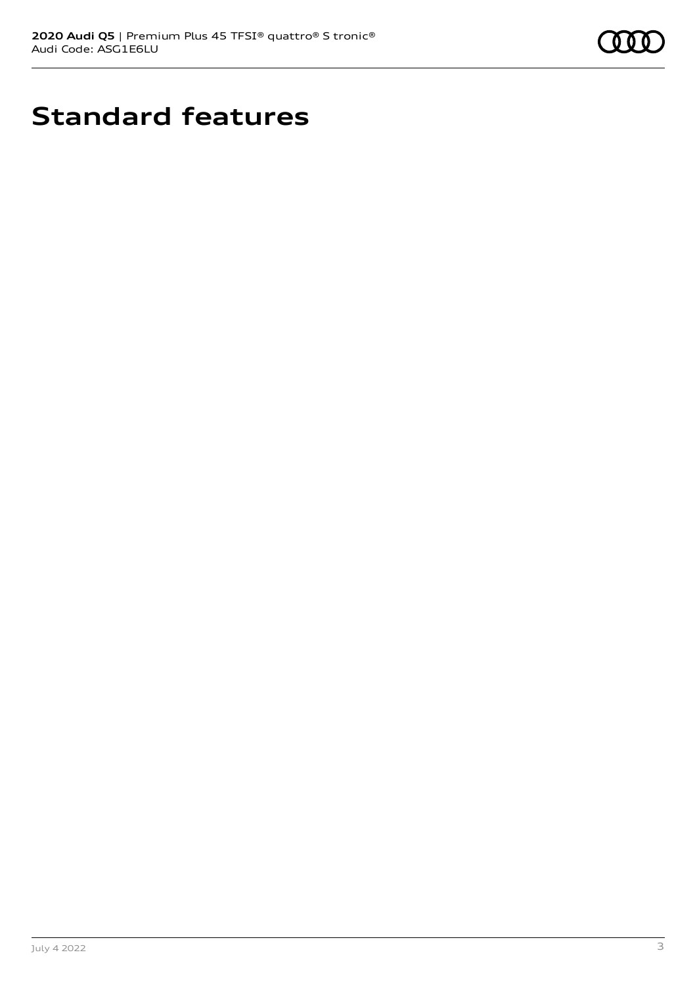

# **Standard features**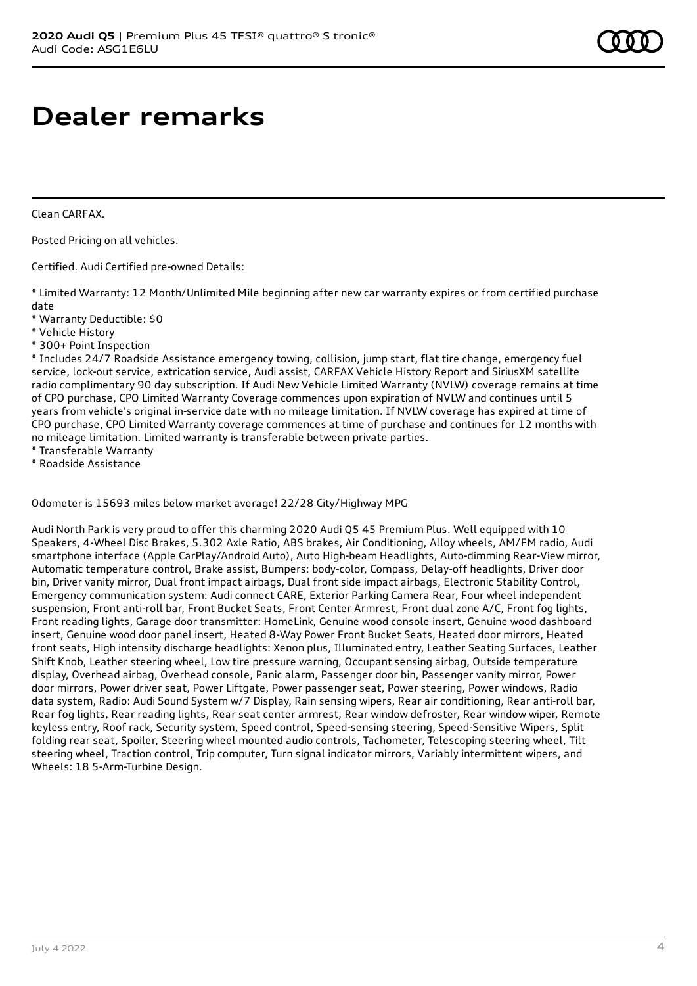# **Dealer remarks**

Clean CARFAX.

Posted Pricing on all vehicles.

Certified. Audi Certified pre-owned Details:

\* Limited Warranty: 12 Month/Unlimited Mile beginning after new car warranty expires or from certified purchase date

- \* Warranty Deductible: \$0
- \* Vehicle History
- \* 300+ Point Inspection

\* Includes 24/7 Roadside Assistance emergency towing, collision, jump start, flat tire change, emergency fuel service, lock-out service, extrication service, Audi assist, CARFAX Vehicle History Report and SiriusXM satellite radio complimentary 90 day subscription. If Audi New Vehicle Limited Warranty (NVLW) coverage remains at time of CPO purchase, CPO Limited Warranty Coverage commences upon expiration of NVLW and continues until 5 years from vehicle's original in-service date with no mileage limitation. If NVLW coverage has expired at time of CPO purchase, CPO Limited Warranty coverage commences at time of purchase and continues for 12 months with no mileage limitation. Limited warranty is transferable between private parties.

\* Transferable Warranty

\* Roadside Assistance

Odometer is 15693 miles below market average! 22/28 City/Highway MPG

Audi North Park is very proud to offer this charming 2020 Audi Q5 45 Premium Plus. Well equipped with 10 Speakers, 4-Wheel Disc Brakes, 5.302 Axle Ratio, ABS brakes, Air Conditioning, Alloy wheels, AM/FM radio, Audi smartphone interface (Apple CarPlay/Android Auto), Auto High-beam Headlights, Auto-dimming Rear-View mirror, Automatic temperature control, Brake assist, Bumpers: body-color, Compass, Delay-off headlights, Driver door bin, Driver vanity mirror, Dual front impact airbags, Dual front side impact airbags, Electronic Stability Control, Emergency communication system: Audi connect CARE, Exterior Parking Camera Rear, Four wheel independent suspension, Front anti-roll bar, Front Bucket Seats, Front Center Armrest, Front dual zone A/C, Front fog lights, Front reading lights, Garage door transmitter: HomeLink, Genuine wood console insert, Genuine wood dashboard insert, Genuine wood door panel insert, Heated 8-Way Power Front Bucket Seats, Heated door mirrors, Heated front seats, High intensity discharge headlights: Xenon plus, Illuminated entry, Leather Seating Surfaces, Leather Shift Knob, Leather steering wheel, Low tire pressure warning, Occupant sensing airbag, Outside temperature display, Overhead airbag, Overhead console, Panic alarm, Passenger door bin, Passenger vanity mirror, Power door mirrors, Power driver seat, Power Liftgate, Power passenger seat, Power steering, Power windows, Radio data system, Radio: Audi Sound System w/7 Display, Rain sensing wipers, Rear air conditioning, Rear anti-roll bar, Rear fog lights, Rear reading lights, Rear seat center armrest, Rear window defroster, Rear window wiper, Remote keyless entry, Roof rack, Security system, Speed control, Speed-sensing steering, Speed-Sensitive Wipers, Split folding rear seat, Spoiler, Steering wheel mounted audio controls, Tachometer, Telescoping steering wheel, Tilt steering wheel, Traction control, Trip computer, Turn signal indicator mirrors, Variably intermittent wipers, and Wheels: 18 5-Arm-Turbine Design.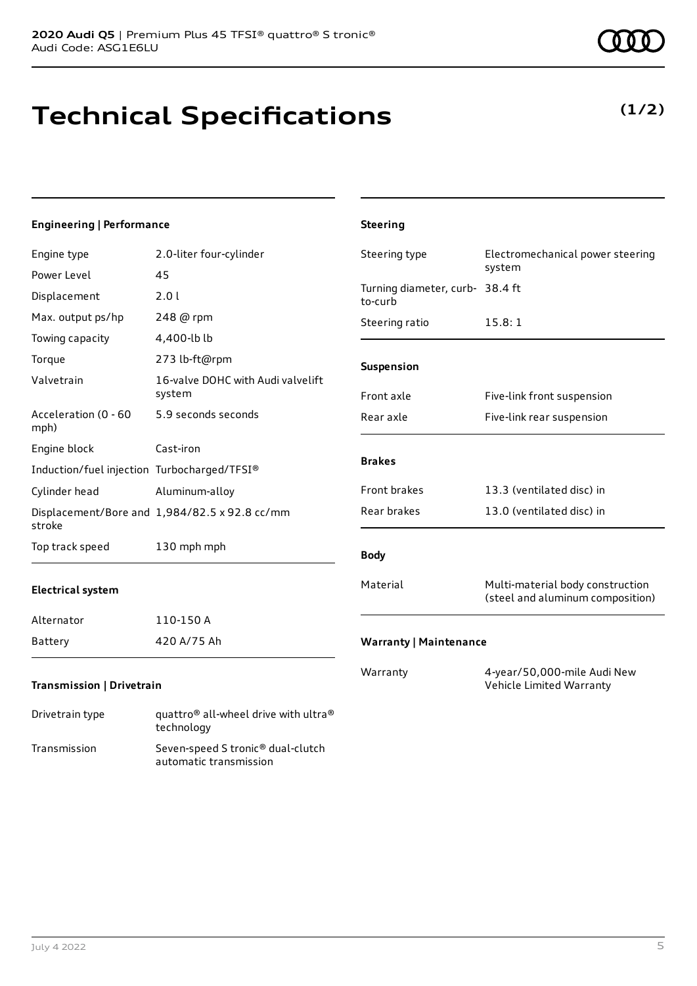# **Technical Specifications**

technology Transmission Seven-speed S tronic® dual-clutch

automatic transmission

### **Engineering | Performance**

| Engine type                                 | 2.0-liter four-cylinder                       | Steering type                              | Electromechanical power steering                                     |
|---------------------------------------------|-----------------------------------------------|--------------------------------------------|----------------------------------------------------------------------|
| Power Level                                 | 45                                            |                                            | system                                                               |
| Displacement                                | 2.01                                          | Turning diameter, curb- 38.4 ft<br>to-curb |                                                                      |
| Max. output ps/hp                           | 248 @ rpm                                     | Steering ratio                             | 15.8:1                                                               |
| Towing capacity                             | 4,400-lb lb                                   |                                            |                                                                      |
| Torque                                      | 273 lb-ft@rpm                                 | Suspension                                 |                                                                      |
| Valvetrain                                  | 16-valve DOHC with Audi valvelift<br>system   | Front axle                                 | Five-link front suspension                                           |
| Acceleration (0 - 60<br>mph)                | 5.9 seconds seconds                           | Rear axle                                  | Five-link rear suspension                                            |
| Engine block                                | Cast-iron                                     |                                            |                                                                      |
| Induction/fuel injection Turbocharged/TFSI® |                                               | <b>Brakes</b>                              |                                                                      |
| Cylinder head                               | Aluminum-alloy                                | Front brakes                               | 13.3 (ventilated disc) in                                            |
| stroke                                      | Displacement/Bore and 1,984/82.5 x 92.8 cc/mm | Rear brakes                                | 13.0 (ventilated disc) in                                            |
| Top track speed                             | 130 mph mph                                   | <b>Body</b>                                |                                                                      |
| <b>Electrical system</b>                    |                                               | Material                                   | Multi-material body construction<br>(steel and aluminum composition) |
| Alternator                                  | 110-150 A                                     |                                            |                                                                      |
| Battery                                     | 420 A/75 Ah                                   | <b>Warranty   Maintenance</b>              |                                                                      |
| <b>Transmission   Drivetrain</b>            |                                               | Warranty                                   | 4-year/50,000-mile Audi New<br>Vehicle Limited Warranty              |
| Drivetrain type                             | quattro® all-wheel drive with ultra®          |                                            |                                                                      |

**Steering**

## **(1/2)**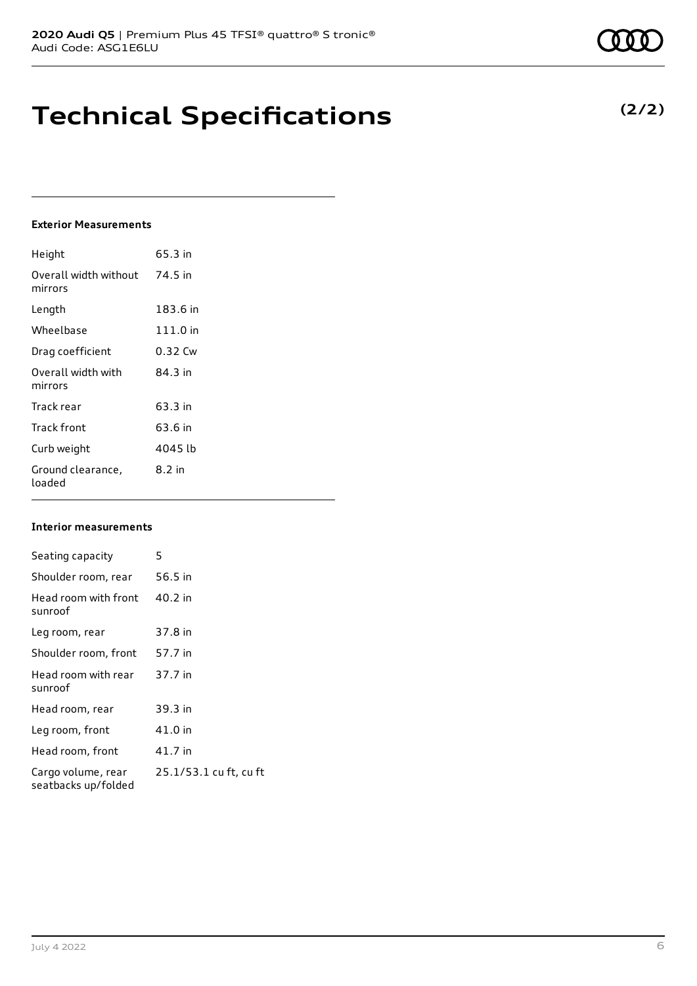# **Technical Specifications**

### **Exterior Measurements**

| Height                           | 65.3 in  |
|----------------------------------|----------|
| Overall width without<br>mirrors | 74.5 in  |
| Length                           | 183.6 in |
| Wheelbase                        | 111.0 in |
| Drag coefficient                 | 0.32 Cw  |
| Overall width with<br>mirrors    | 84 3 in  |
| Track rear                       | 63.3 in  |
| Track front                      | 63.6 in  |
| Curb weight                      | 4045 lb  |
| Ground clearance,<br>loaded      | 8.2 in   |

#### **Interior measurements**

| Seating capacity                          | 5                      |
|-------------------------------------------|------------------------|
| Shoulder room, rear                       | 56.5 in                |
| Head room with front<br>sunroof           | 40.2 in                |
| Leg room, rear                            | 37.8 in                |
| Shoulder room, front                      | 57.7 in                |
| Head room with rear<br>sunroof            | 37.7 in                |
| Head room, rear                           | 39.3 in                |
| Leg room, front                           | 41.0 in                |
| Head room, front                          | 41.7 in                |
| Cargo volume, rear<br>seatbacks up/folded | 25.1/53.1 cu ft, cu ft |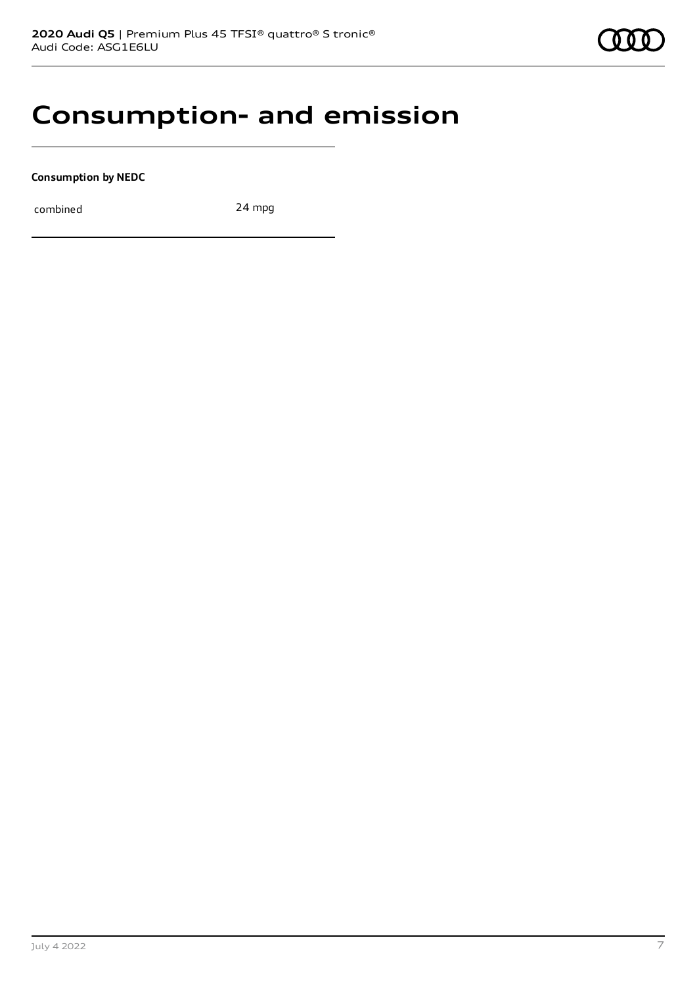# **Consumption- and emission**

**Consumption by NEDC**

combined 24 mpg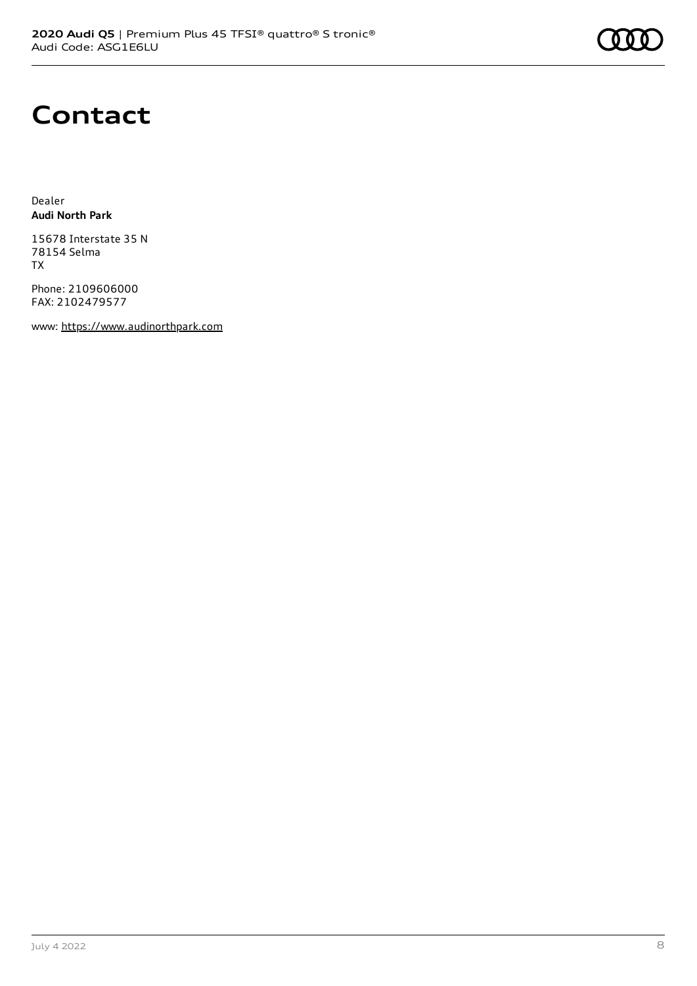# **Contact**

Dealer **Audi North Park**

15678 Interstate 35 N 78154 Selma TX

Phone: 2109606000 FAX: 2102479577

www: [https://www.audinorthpark.com](https://www.audinorthpark.com/)